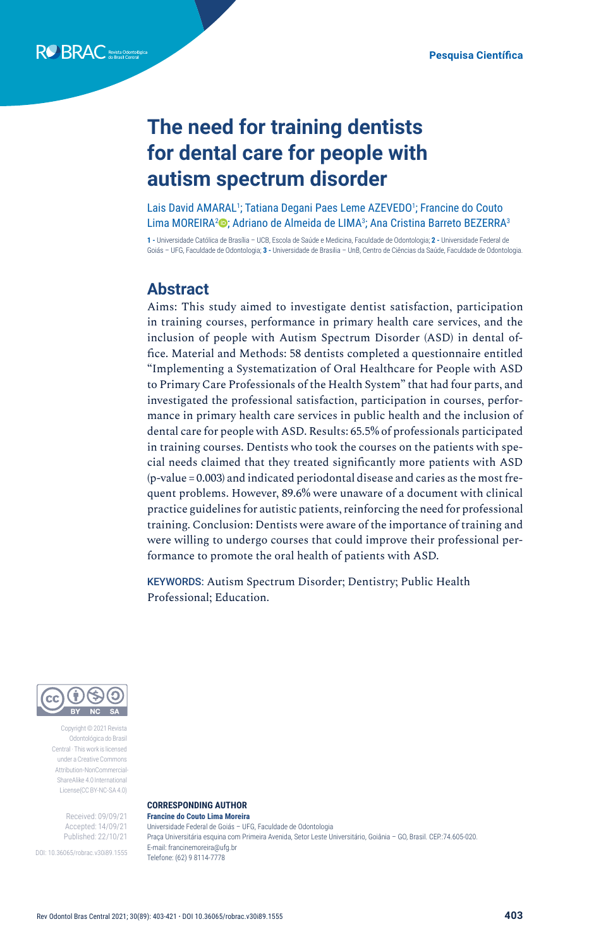# **The need for training dentists for dental care for people with autism spectrum disorder**

Lais David AMARAL<sup>1</sup>; Tatiana Degani Paes Leme AZEVEDO<sup>1</sup>; Francine do Couto Lima MOREIRA<del><sup>[2](https://orcid.org/0000-0002-4950-1864)</sup>©</del>; Adriano de Almeida de LIMA<sup>3</sup>; Ana Cristina Barreto BEZERRA<sup>3</sup>

**1 -** Universidade Católica de Brasília – UCB, Escola de Saúde e Medicina, Faculdade de Odontologia; **2 -** Universidade Federal de Goiás – UFG, Faculdade de Odontologia; **3 -** Universidade de Brasilia – UnB, Centro de Ciências da Saúde, Faculdade de Odontologia.

## **Abstract**

Aims: This study aimed to investigate dentist satisfaction, participation in training courses, performance in primary health care services, and the inclusion of people with Autism Spectrum Disorder (ASD) in dental office. Material and Methods: 58 dentists completed a questionnaire entitled "Implementing a Systematization of Oral Healthcare for People with ASD to Primary Care Professionals of the Health System" that had four parts, and investigated the professional satisfaction, participation in courses, performance in primary health care services in public health and the inclusion of dental care for people with ASD. Results: 65.5% of professionals participated in training courses. Dentists who took the courses on the patients with special needs claimed that they treated significantly more patients with ASD (p-value = 0.003) and indicated periodontal disease and caries as the most frequent problems. However, 89.6% were unaware of a document with clinical practice guidelines for autistic patients, reinforcing the need for professional training. Conclusion: Dentists were aware of the importance of training and were willing to undergo courses that could improve their professional performance to promote the oral health of patients with ASD.

KEYWORDS: Autism Spectrum Disorder; Dentistry; Public Health Professional; Education.



Copyright © 2021 Revista Odontológica do Brasil Central · This work is licensed under a Creative Commons Attribution-NonCommercial-ShareAlike 4.0 International License(CC BY-NC-SA 4.0)

> Received: 09/09/21 Accepted: 14/09/21 Published: 22/10/21

DOI: 10.36065/robrac.v30i89.1555

#### **CORRESPONDING AUTHOR Francine do Couto Lima Moreira**

Universidade Federal de Goiás – UFG, Faculdade de Odontologia Praça Universitária esquina com Primeira Avenida, Setor Leste Universitário, Goiânia – GO, Brasil. CEP.:74.605-020. E-mail: francinemoreira@ufg.br Telefone: (62) 9 8114-7778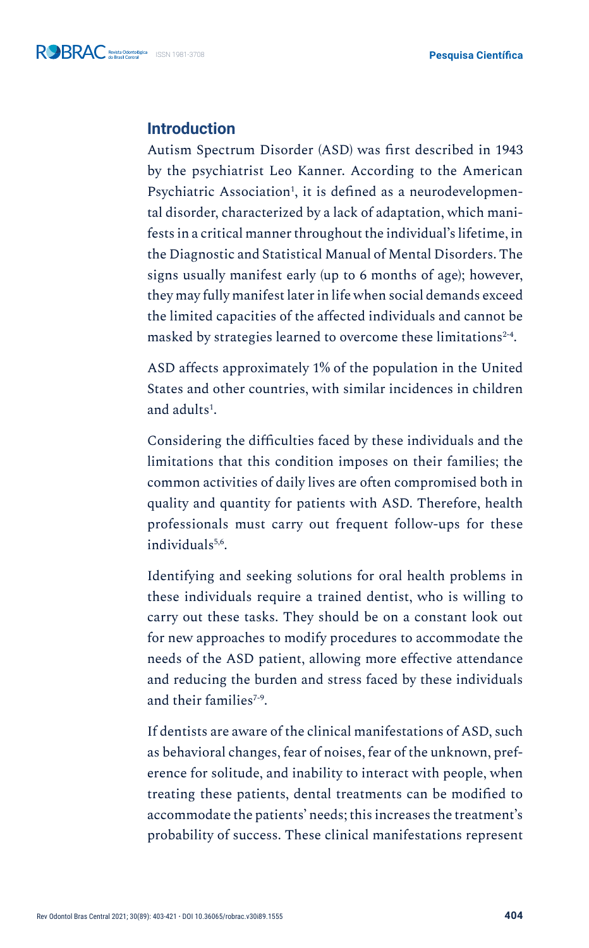## **Introduction**

Autism Spectrum Disorder (ASD) was first described in 1943 by the psychiatrist Leo Kanner. According to the American Psychiatric Association<sup>1</sup>, it is defined as a neurodevelopmental disorder, characterized by a lack of adaptation, which manifests in a critical manner throughout the individual's lifetime, in the Diagnostic and Statistical Manual of Mental Disorders. The signs usually manifest early (up to 6 months of age); however, they may fully manifest later in life when social demands exceed the limited capacities of the affected individuals and cannot be masked by strategies learned to overcome these limitations<sup>2-4</sup>.

ASD affects approximately 1% of the population in the United States and other countries, with similar incidences in children and adults<sup>1</sup>.

Considering the difficulties faced by these individuals and the limitations that this condition imposes on their families; the common activities of daily lives are often compromised both in quality and quantity for patients with ASD. Therefore, health professionals must carry out frequent follow-ups for these individuals<sup>5,6</sup>.

Identifying and seeking solutions for oral health problems in these individuals require a trained dentist, who is willing to carry out these tasks. They should be on a constant look out for new approaches to modify procedures to accommodate the needs of the ASD patient, allowing more effective attendance and reducing the burden and stress faced by these individuals and their families<sup>7-9</sup>.

If dentists are aware of the clinical manifestations of ASD, such as behavioral changes, fear of noises, fear of the unknown, preference for solitude, and inability to interact with people, when treating these patients, dental treatments can be modified to accommodate the patients' needs; this increases the treatment's probability of success. These clinical manifestations represent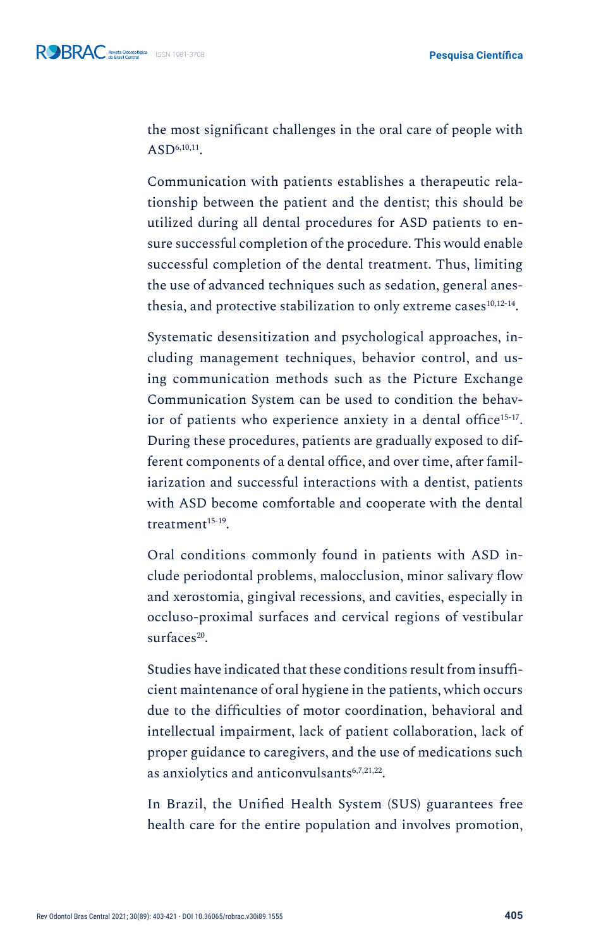**Pesquisa Científica**

the most significant challenges in the oral care of people with  $ASD<sup>6,10,11</sup>$ .

Communication with patients establishes a therapeutic relationship between the patient and the dentist; this should be utilized during all dental procedures for ASD patients to ensure successful completion of the procedure. This would enable successful completion of the dental treatment. Thus, limiting the use of advanced techniques such as sedation, general anesthesia, and protective stabilization to only extreme cases $10,12-14$ .

Systematic desensitization and psychological approaches, including management techniques, behavior control, and using communication methods such as the Picture Exchange Communication System can be used to condition the behavior of patients who experience anxiety in a dental office<sup>15-17</sup>. During these procedures, patients are gradually exposed to different components of a dental office, and over time, after familiarization and successful interactions with a dentist, patients with ASD become comfortable and cooperate with the dental treatment $15-19$ .

Oral conditions commonly found in patients with ASD include periodontal problems, malocclusion, minor salivary flow and xerostomia, gingival recessions, and cavities, especially in occluso-proximal surfaces and cervical regions of vestibular surfaces<sup>20</sup>.

Studies have indicated that these conditions result from insufficient maintenance of oral hygiene in the patients, which occurs due to the difficulties of motor coordination, behavioral and intellectual impairment, lack of patient collaboration, lack of proper guidance to caregivers, and the use of medications such as anxiolytics and anticonvulsants<sup>6,7,21,22</sup>.

In Brazil, the Unified Health System (SUS) guarantees free health care for the entire population and involves promotion,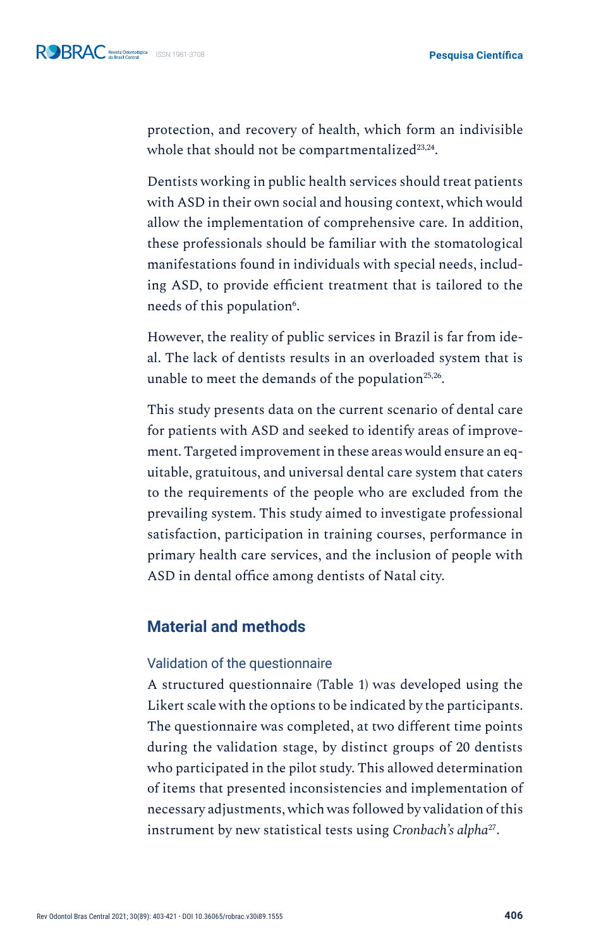protection, and recovery of health, which form an indivisible whole that should not be compartmentalized $^{23,24}$ .

Dentists working in public health services should treat patients with ASD in their own social and housing context, which would allow the implementation of comprehensive care. In addition, these professionals should be familiar with the stomatological manifestations found in individuals with special needs, including ASD, to provide efficient treatment that is tailored to the needs of this population<sup>6</sup>.

However, the reality of public services in Brazil is far from ideal. The lack of dentists results in an overloaded system that is unable to meet the demands of the population<sup>25,26</sup>.

This study presents data on the current scenario of dental care for patients with ASD and seeked to identify areas of improvement. Targeted improvement in these areas would ensure an equitable, gratuitous, and universal dental care system that caters to the requirements of the people who are excluded from the prevailing system. This study aimed to investigate professional satisfaction, participation in training courses, performance in primary health care services, and the inclusion of people with ASD in dental office among dentists of Natal city.

## **Material and methods**

## Validation of the questionnaire

A structured questionnaire (Table 1) was developed using the Likert scale with the options to be indicated by the participants. The questionnaire was completed, at two different time points during the validation stage, by distinct groups of 20 dentists who participated in the pilot study. This allowed determination of items that presented inconsistencies and implementation of necessary adjustments, which was followed by validation of this instrument by new statistical tests using *Cronbach's alpha*27.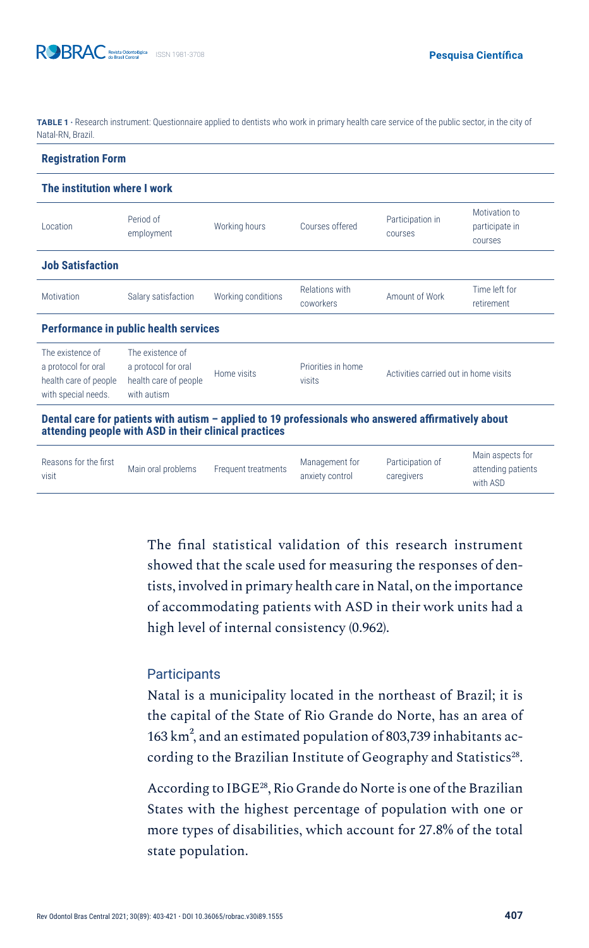**TABLE 1 ·** Research instrument: Questionnaire applied to dentists who work in primary health care service of the public sector, in the city of Natal-RN, Brazil.

| <b>Registration Form</b>                                                                |                                                                                                                                                              |                    |                              |                                       |                                            |  |
|-----------------------------------------------------------------------------------------|--------------------------------------------------------------------------------------------------------------------------------------------------------------|--------------------|------------------------------|---------------------------------------|--------------------------------------------|--|
| The institution where I work                                                            |                                                                                                                                                              |                    |                              |                                       |                                            |  |
| Location                                                                                | Period of<br>employment                                                                                                                                      | Working hours      | Courses offered              | Participation in<br>courses           | Motivation to<br>participate in<br>courses |  |
| <b>Job Satisfaction</b>                                                                 |                                                                                                                                                              |                    |                              |                                       |                                            |  |
| Motivation                                                                              | Salary satisfaction                                                                                                                                          | Working conditions | Relations with<br>coworkers  | Amount of Work                        | Time left for<br>retirement                |  |
| <b>Performance in public health services</b>                                            |                                                                                                                                                              |                    |                              |                                       |                                            |  |
| The existence of<br>a protocol for oral<br>health care of people<br>with special needs. | The existence of<br>a protocol for oral<br>health care of people<br>with autism                                                                              | Home visits        | Priorities in home<br>visits | Activities carried out in home visits |                                            |  |
|                                                                                         | Dental care for patients with autism - applied to 19 professionals who answered affirmatively about<br>attending people with ASD in their clinical practices |                    |                              |                                       |                                            |  |
|                                                                                         |                                                                                                                                                              |                    |                              |                                       | Main geneete for                           |  |

| Reasons for the first |                    |                     | Management for  | Participation of | Main aspects for   |
|-----------------------|--------------------|---------------------|-----------------|------------------|--------------------|
|                       | Main oral problems | Frequent treatments |                 |                  | attending patients |
| visit                 |                    |                     | anxiety control | caregivers       |                    |
|                       |                    |                     |                 |                  | with ASD           |

The final statistical validation of this research instrument showed that the scale used for measuring the responses of dentists, involved in primary health care in Natal, on the importance of accommodating patients with ASD in their work units had a high level of internal consistency (0.962).

### **Participants**

Natal is a municipality located in the northeast of Brazil; it is the capital of the State of Rio Grande do Norte, has an area of 163  $km<sup>2</sup>$ , and an estimated population of 803,739 inhabitants according to the Brazilian Institute of Geography and Statistics<sup>28</sup>.

According to IBGE28, Rio Grande do Norte is one of the Brazilian States with the highest percentage of population with one or more types of disabilities, which account for 27.8% of the total state population.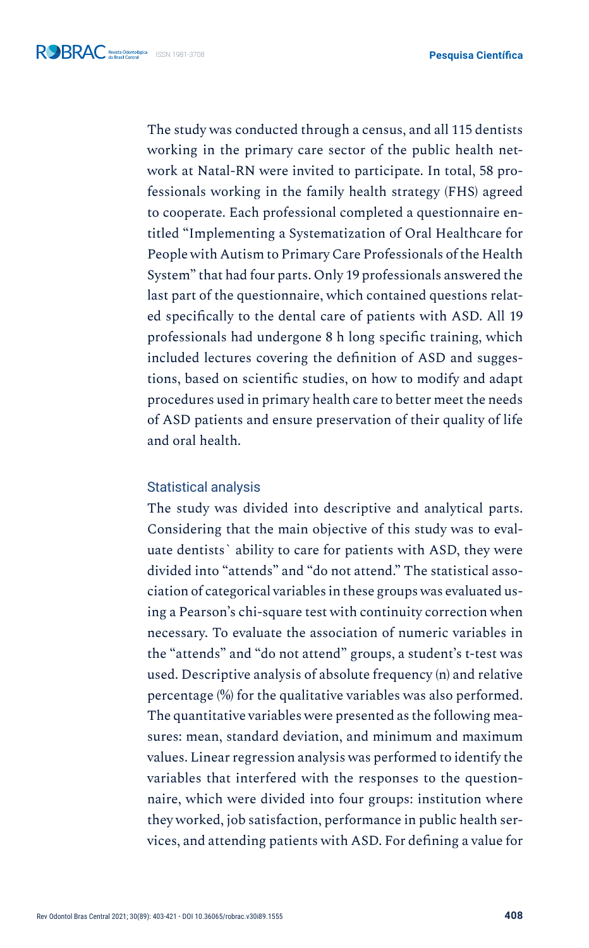The study was conducted through a census, and all 115 dentists working in the primary care sector of the public health network at Natal-RN were invited to participate. In total, 58 professionals working in the family health strategy (FHS) agreed to cooperate. Each professional completed a questionnaire entitled "Implementing a Systematization of Oral Healthcare for People with Autism to Primary Care Professionals of the Health System" that had four parts. Only 19 professionals answered the last part of the questionnaire, which contained questions related specifically to the dental care of patients with ASD. All 19 professionals had undergone 8 h long specific training, which included lectures covering the definition of ASD and suggestions, based on scientific studies, on how to modify and adapt procedures used in primary health care to better meet the needs of ASD patients and ensure preservation of their quality of life and oral health.

## Statistical analysis

The study was divided into descriptive and analytical parts. Considering that the main objective of this study was to evaluate dentists` ability to care for patients with ASD, they were divided into "attends" and "do not attend." The statistical association of categorical variables in these groups was evaluated using a Pearson's chi-square test with continuity correction when necessary. To evaluate the association of numeric variables in the "attends" and "do not attend" groups, a student's t-test was used. Descriptive analysis of absolute frequency (n) and relative percentage (%) for the qualitative variables was also performed. The quantitative variables were presented as the following measures: mean, standard deviation, and minimum and maximum values. Linear regression analysis was performed to identify the variables that interfered with the responses to the questionnaire, which were divided into four groups: institution where they worked, job satisfaction, performance in public health services, and attending patients with ASD. For defining a value for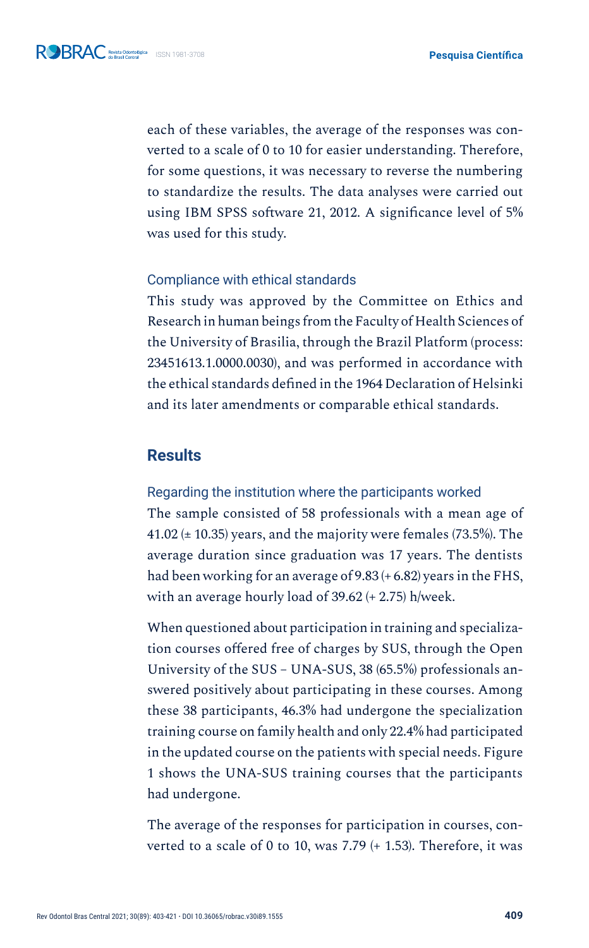**Pesquisa Científica**

each of these variables, the average of the responses was converted to a scale of 0 to 10 for easier understanding. Therefore, for some questions, it was necessary to reverse the numbering to standardize the results. The data analyses were carried out using IBM SPSS software 21, 2012. A significance level of 5% was used for this study.

### Compliance with ethical standards

This study was approved by the Committee on Ethics and Research in human beings from the Faculty of Health Sciences of the University of Brasilia, through the Brazil Platform (process: 23451613.1.0000.0030), and was performed in accordance with the ethical standards defined in the 1964 Declaration of Helsinki and its later amendments or comparable ethical standards.

### **Results**

Regarding the institution where the participants worked The sample consisted of 58 professionals with a mean age of 41.02  $(\pm 10.35)$  years, and the majority were females (73.5%). The average duration since graduation was 17 years. The dentists had been working for an average of 9.83 (+ 6.82) years in the FHS, with an average hourly load of 39.62 (+ 2.75) h/week.

When questioned about participation in training and specialization courses offered free of charges by SUS, through the Open University of the SUS – UNA-SUS, 38 (65.5%) professionals answered positively about participating in these courses. Among these 38 participants, 46.3% had undergone the specialization training course on family health and only 22.4% had participated in the updated course on the patients with special needs. Figure 1 shows the UNA-SUS training courses that the participants had undergone.

The average of the responses for participation in courses, converted to a scale of 0 to 10, was 7.79 (+ 1.53). Therefore, it was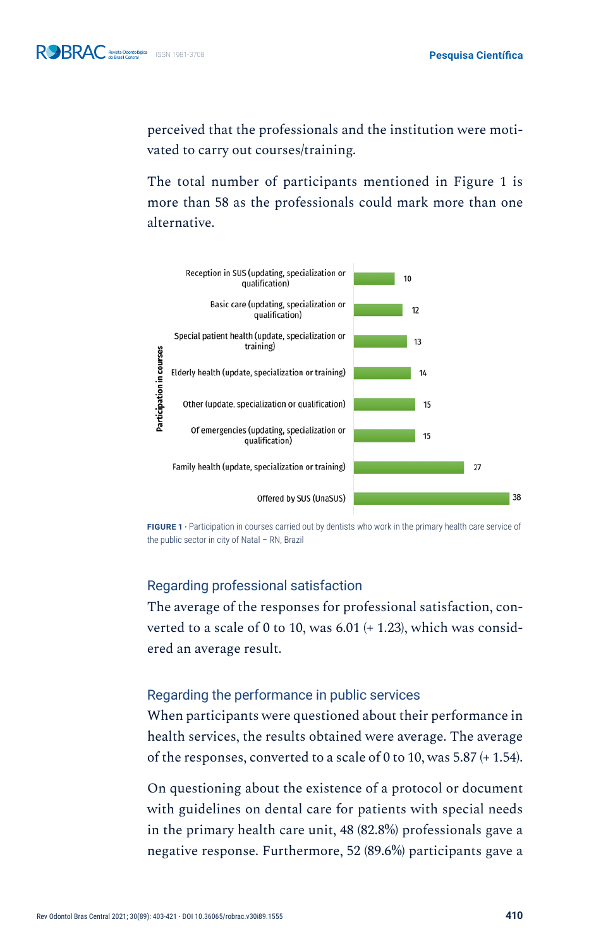perceived that the professionals and the institution were motivated to carry out courses/training.

The total number of participants mentioned in Figure 1 is more than 58 as the professionals could mark more than one alternative.



**FIGURE 1** · Participation in courses carried out by dentists who work in the primary health care service of the public sector in city of Natal – RN, Brazil

### Regarding professional satisfaction

The average of the responses for professional satisfaction, converted to a scale of 0 to 10, was 6.01  $(+ 1.23)$ , which was considered an average result.

### Regarding the performance in public services

When participants were questioned about their performance in health services, the results obtained were average. The average of the responses, converted to a scale of 0 to 10, was  $5.87 (+ 1.54)$ .

On questioning about the existence of a protocol or document with guidelines on dental care for patients with special needs in the primary health care unit, 48 (82.8%) professionals gave a negative response. Furthermore, 52 (89.6%) participants gave a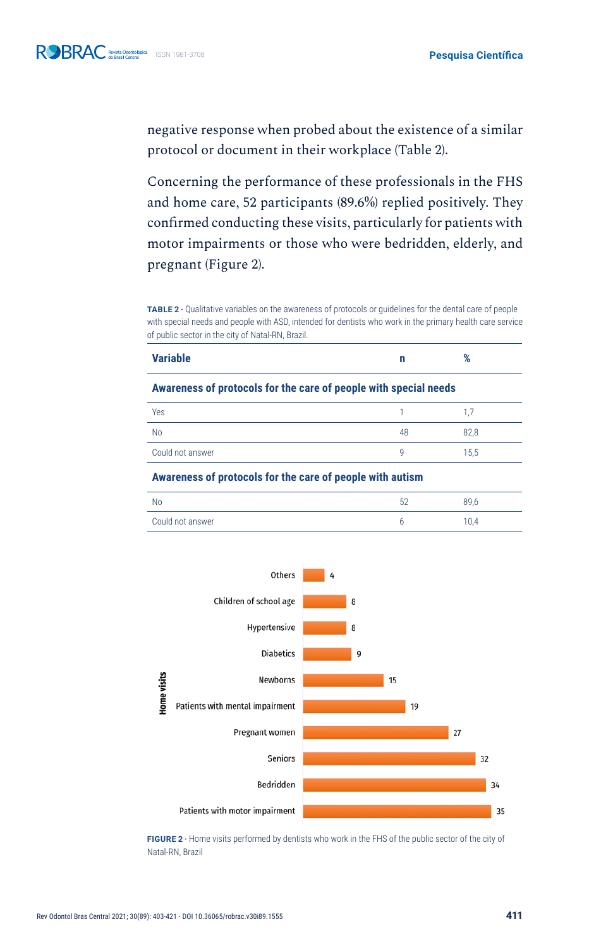negative response when probed about the existence of a similar protocol or document in their workplace (Table 2).

Concerning the performance of these professionals in the FHS and home care, 52 participants (89.6%) replied positively. They confirmed conducting these visits, particularly for patients with motor impairments or those who were bedridden, elderly, and pregnant (Figure 2).

**TABLE 2 ·** Qualitative variables on the awareness of protocols or guidelines for the dental care of people with special needs and people with ASD, intended for dentists who work in the primary health care service of public sector in the city of Natal-RN, Brazil.

| <b>Variable</b> | n | $\%$ |  |
|-----------------|---|------|--|
|                 |   |      |  |

#### **Awareness of protocols for the care of people with special needs**

| Yes              |    |      |
|------------------|----|------|
| No               | 48 | 82.8 |
| Could not answer |    | 15,5 |

#### **Awareness of protocols for the care of people with autism**

| No               | 89.6 |
|------------------|------|
| Could not answer |      |



**FIGURE 2 ·** Home visits performed by dentists who work in the FHS of the public sector of the city of Natal-RN, Brazil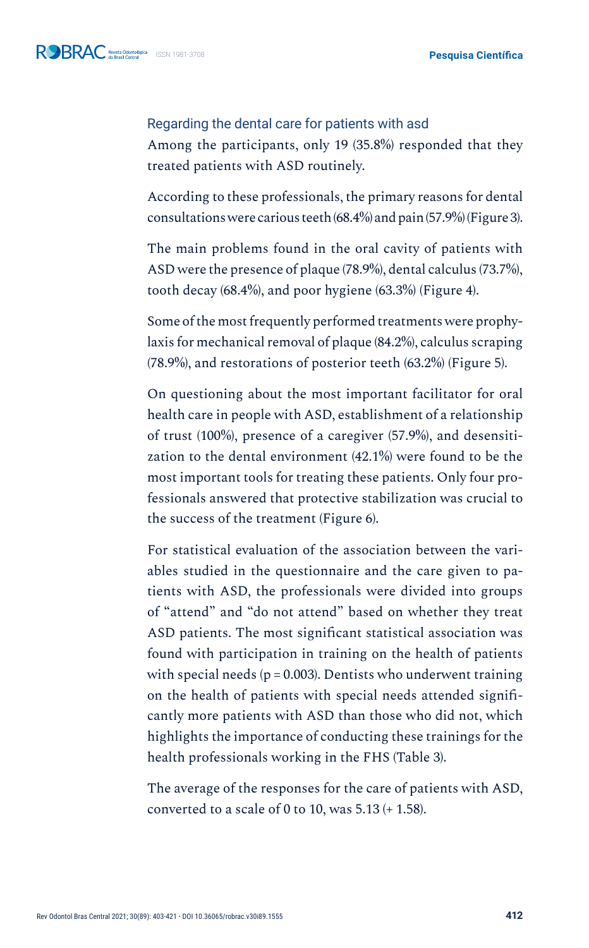Regarding the dental care for patients with asd Among the participants, only 19 (35.8%) responded that they treated patients with ASD routinely.

According to these professionals, the primary reasons for dental consultations were carious teeth (68.4%) and pain (57.9%) (Figure 3).

The main problems found in the oral cavity of patients with ASD were the presence of plaque (78.9%), dental calculus (73.7%), tooth decay (68.4%), and poor hygiene (63.3%) (Figure 4).

Some of the most frequently performed treatments were prophylaxis for mechanical removal of plaque (84.2%), calculus scraping (78.9%), and restorations of posterior teeth (63.2%) (Figure 5).

On questioning about the most important facilitator for oral health care in people with ASD, establishment of a relationship of trust (100%), presence of a caregiver (57.9%), and desensitization to the dental environment (42.1%) were found to be the most important tools for treating these patients. Only four professionals answered that protective stabilization was crucial to the success of the treatment (Figure 6).

For statistical evaluation of the association between the variables studied in the questionnaire and the care given to patients with ASD, the professionals were divided into groups of "attend" and "do not attend" based on whether they treat ASD patients. The most significant statistical association was found with participation in training on the health of patients with special needs ( $p = 0.003$ ). Dentists who underwent training on the health of patients with special needs attended significantly more patients with ASD than those who did not, which highlights the importance of conducting these trainings for the health professionals working in the FHS (Table 3).

The average of the responses for the care of patients with ASD, converted to a scale of 0 to 10, was  $5.13$  (+ 1.58).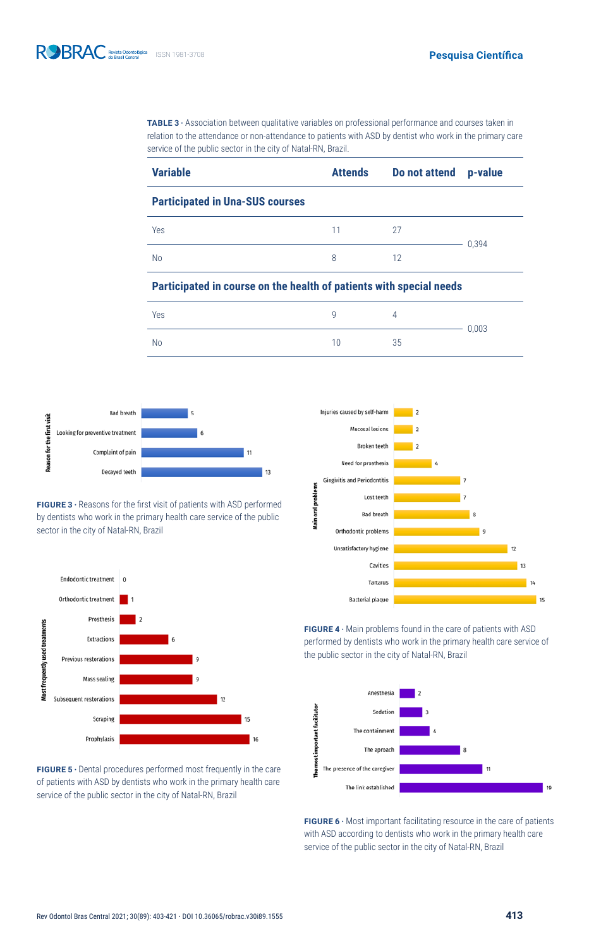TABLE 3 · Association between qualitative variables on professional performance and courses taken in relation to the attendance or non-attendance to patients with ASD by dentist who work in the primary care service of the public sector in the city of Natal-RN, Brazil.

| <b>Variable</b>                        | <b>Attends</b> | Do not attend | p-value |  |
|----------------------------------------|----------------|---------------|---------|--|
| <b>Participated in Una-SUS courses</b> |                |               |         |  |
| Yes                                    | 11             | 27            |         |  |
| No                                     | 8              | 12            | 0.394   |  |

#### **Participated in course on the health of patients with special needs**

| Yes |    |    | 0,003 |
|-----|----|----|-------|
| No  | 10 | 35 |       |



**FIGURE 3 ·** Reasons for the first visit of patients with ASD performed by dentists who work in the primary health care service of the public sector in the city of Natal-RN, Brazil



**FIGURE 5 ·** Dental procedures performed most frequently in the care of patients with ASD by dentists who work in the primary health care service of the public sector in the city of Natal-RN, Brazil



**FIGURE 4 ·** Main problems found in the care of patients with ASD performed by dentists who work in the primary health care service of the public sector in the city of Natal-RN, Brazil



**FIGURE 6** · Most important facilitating resource in the care of patients with ASD according to dentists who work in the primary health care service of the public sector in the city of Natal-RN, Brazil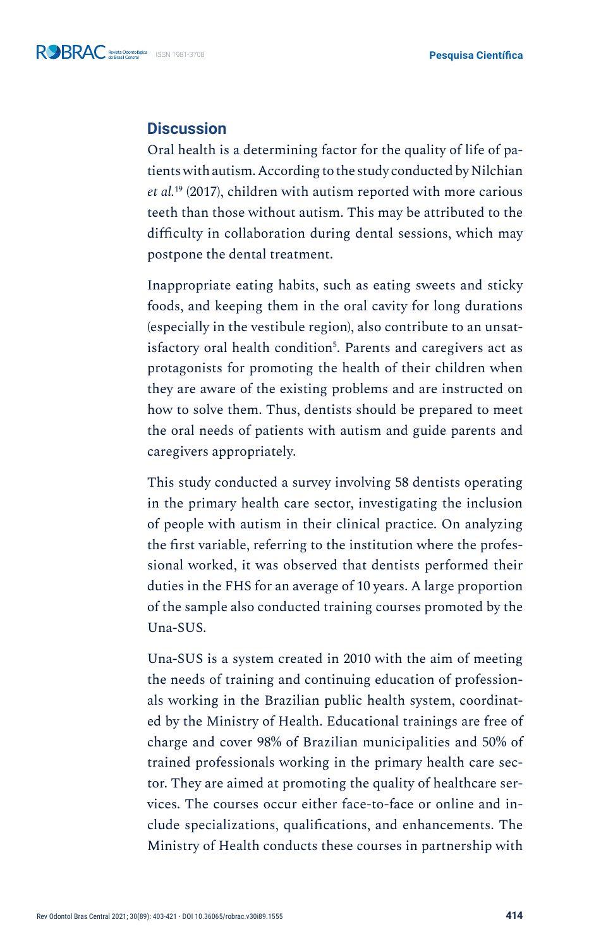## **Discussion**

Oral health is a determining factor for the quality of life of patients with autism. According to the study conducted by Nilchian *et al.*19 (2017), children with autism reported with more carious teeth than those without autism. This may be attributed to the difficulty in collaboration during dental sessions, which may postpone the dental treatment.

Inappropriate eating habits, such as eating sweets and sticky foods, and keeping them in the oral cavity for long durations (especially in the vestibule region), also contribute to an unsatisfactory oral health condition<sup>5</sup>. Parents and caregivers act as protagonists for promoting the health of their children when they are aware of the existing problems and are instructed on how to solve them. Thus, dentists should be prepared to meet the oral needs of patients with autism and guide parents and caregivers appropriately.

This study conducted a survey involving 58 dentists operating in the primary health care sector, investigating the inclusion of people with autism in their clinical practice. On analyzing the first variable, referring to the institution where the professional worked, it was observed that dentists performed their duties in the FHS for an average of 10 years. A large proportion of the sample also conducted training courses promoted by the Una-SUS.

Una-SUS is a system created in 2010 with the aim of meeting the needs of training and continuing education of professionals working in the Brazilian public health system, coordinated by the Ministry of Health. Educational trainings are free of charge and cover 98% of Brazilian municipalities and 50% of trained professionals working in the primary health care sector. They are aimed at promoting the quality of healthcare services. The courses occur either face-to-face or online and include specializations, qualifications, and enhancements. The Ministry of Health conducts these courses in partnership with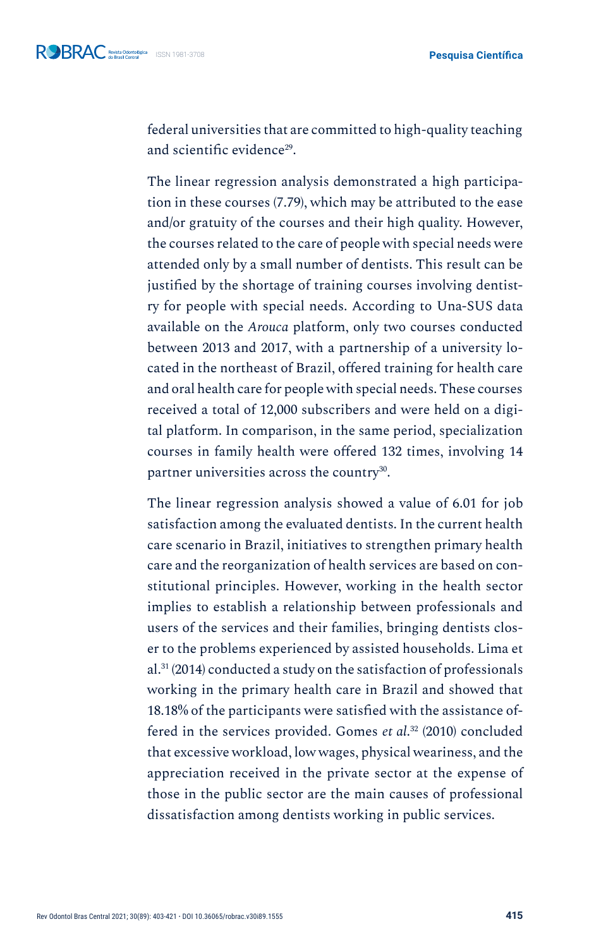**Pesquisa Científica**

federal universities that are committed to high-quality teaching and scientific evidence<sup>29</sup>.

The linear regression analysis demonstrated a high participation in these courses (7.79), which may be attributed to the ease and/or gratuity of the courses and their high quality. However, the courses related to the care of people with special needs were attended only by a small number of dentists. This result can be justified by the shortage of training courses involving dentistry for people with special needs. According to Una-SUS data available on the *Arouca* platform, only two courses conducted between 2013 and 2017, with a partnership of a university located in the northeast of Brazil, offered training for health care and oral health care for people with special needs. These courses received a total of 12,000 subscribers and were held on a digital platform. In comparison, in the same period, specialization courses in family health were offered 132 times, involving 14 partner universities across the country<sup>30</sup>.

The linear regression analysis showed a value of 6.01 for job satisfaction among the evaluated dentists. In the current health care scenario in Brazil, initiatives to strengthen primary health care and the reorganization of health services are based on constitutional principles. However, working in the health sector implies to establish a relationship between professionals and users of the services and their families, bringing dentists closer to the problems experienced by assisted households. Lima et al.31 (2014) conducted a study on the satisfaction of professionals working in the primary health care in Brazil and showed that 18.18% of the participants were satisfied with the assistance offered in the services provided. Gomes *et al*. 32 (2010) concluded that excessive workload, low wages, physical weariness, and the appreciation received in the private sector at the expense of those in the public sector are the main causes of professional dissatisfaction among dentists working in public services.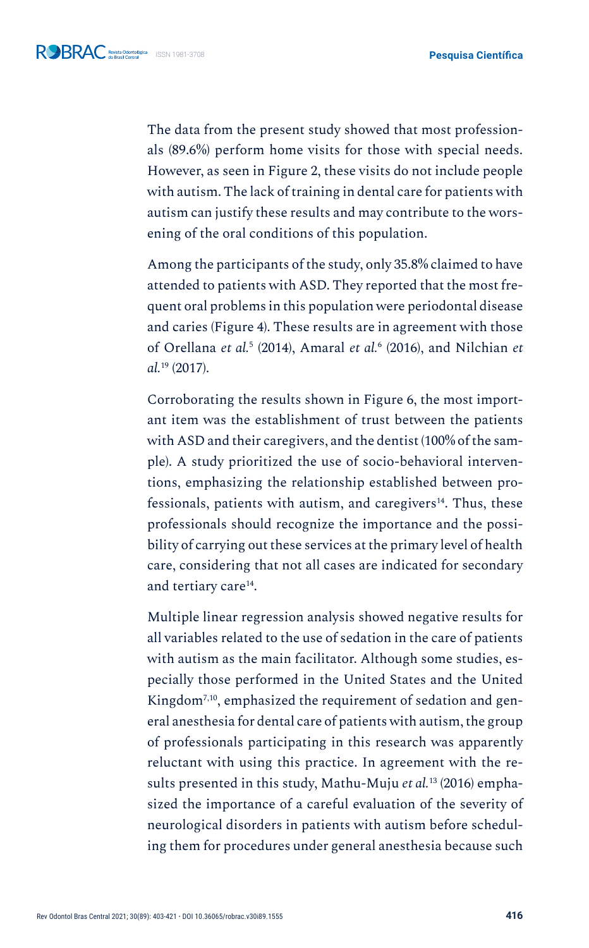The data from the present study showed that most professionals (89.6%) perform home visits for those with special needs. However, as seen in Figure 2, these visits do not include people with autism. The lack of training in dental care for patients with autism can justify these results and may contribute to the worsening of the oral conditions of this population.

Among the participants of the study, only 35.8% claimed to have attended to patients with ASD. They reported that the most frequent oral problems in this population were periodontal disease and caries (Figure 4). These results are in agreement with those of Orellana *et al.*<sup>5</sup> (2014), Amaral *et al.*<sup>6</sup> (2016), and Nilchian *et al.*19 (2017).

Corroborating the results shown in Figure 6, the most important item was the establishment of trust between the patients with ASD and their caregivers, and the dentist (100% of the sample). A study prioritized the use of socio-behavioral interventions, emphasizing the relationship established between professionals, patients with autism, and caregivers<sup>14</sup>. Thus, these professionals should recognize the importance and the possibility of carrying out these services at the primary level of health care, considering that not all cases are indicated for secondary and tertiary care<sup>14</sup>.

Multiple linear regression analysis showed negative results for all variables related to the use of sedation in the care of patients with autism as the main facilitator. Although some studies, especially those performed in the United States and the United Kingdom<sup>7,10</sup>, emphasized the requirement of sedation and general anesthesia for dental care of patients with autism, the group of professionals participating in this research was apparently reluctant with using this practice. In agreement with the results presented in this study, Mathu-Muju *et al.*13 (2016) emphasized the importance of a careful evaluation of the severity of neurological disorders in patients with autism before scheduling them for procedures under general anesthesia because such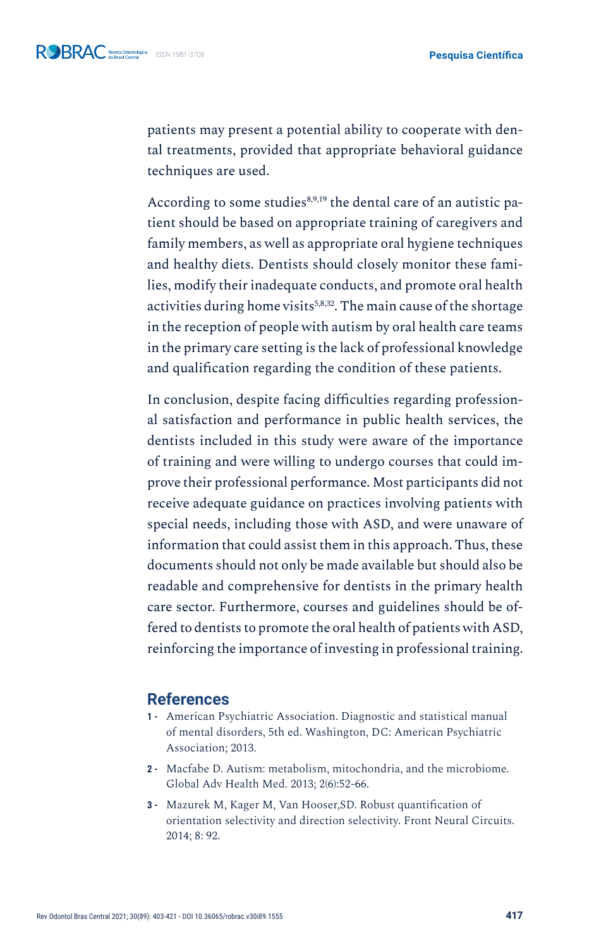patients may present a potential ability to cooperate with dental treatments, provided that appropriate behavioral guidance techniques are used.

According to some studies<sup>8,9,19</sup> the dental care of an autistic patient should be based on appropriate training of caregivers and family members, as well as appropriate oral hygiene techniques and healthy diets. Dentists should closely monitor these families, modify their inadequate conducts, and promote oral health activities during home visits<sup>5,8,32</sup>. The main cause of the shortage in the reception of people with autism by oral health care teams in the primary care setting is the lack of professional knowledge and qualification regarding the condition of these patients.

In conclusion, despite facing difficulties regarding professional satisfaction and performance in public health services, the dentists included in this study were aware of the importance of training and were willing to undergo courses that could improve their professional performance. Most participants did not receive adequate guidance on practices involving patients with special needs, including those with ASD, and were unaware of information that could assist them in this approach. Thus, these documents should not only be made available but should also be readable and comprehensive for dentists in the primary health care sector. Furthermore, courses and guidelines should be offered to dentists to promote the oral health of patients with ASD, reinforcing the importance of investing in professional training.

### **References**

- **1 -** American Psychiatric Association. Diagnostic and statistical manual of mental disorders, 5th ed. Washington, DC: American Psychiatric Association; 2013.
- **2 -** Macfabe D. Autism: metabolism, mitochondria, and the microbiome. Global Adv Health Med. 2013; 2(6):52-66.
- **3 -** Mazurek M, Kager M, Van Hooser,SD. Robust quantification of orientation selectivity and direction selectivity. Front Neural Circuits. 2014; 8: 92.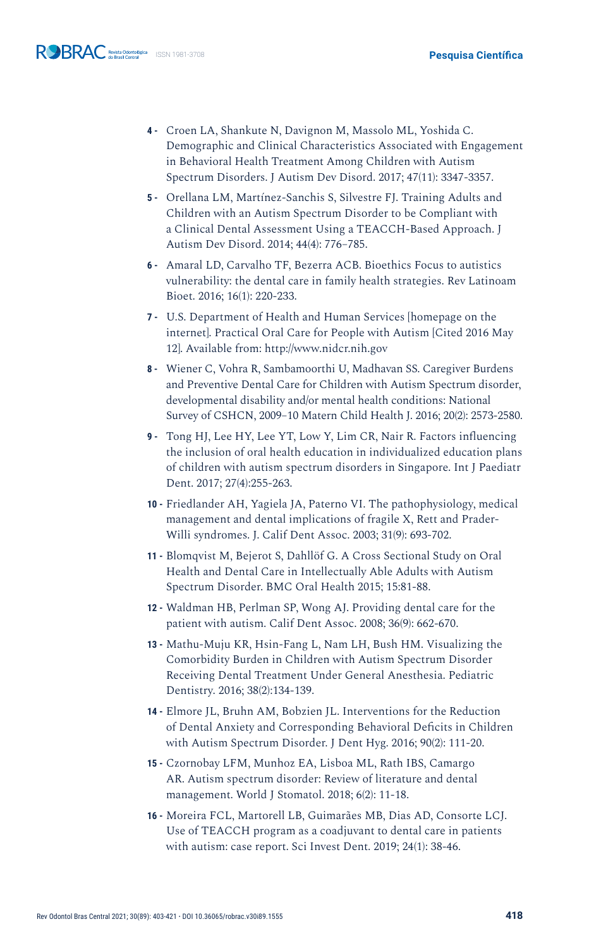- **4 -** Croen LA, Shankute N, Davignon M, Massolo ML, Yoshida C. Demographic and Clinical Characteristics Associated with Engagement in Behavioral Health Treatment Among Children with Autism Spectrum Disorders. J Autism Dev Disord. 2017; 47(11): 3347-3357.
- **5 -** Orellana LM, Martínez-Sanchis S, Silvestre FJ. Training Adults and Children with an Autism Spectrum Disorder to be Compliant with a Clinical Dental Assessment Using a TEACCH-Based Approach. J Autism Dev Disord. 2014; 44(4): 776–785.
- **6 -** Amaral LD, Carvalho TF, Bezerra ACB. Bioethics Focus to autistics vulnerability: the dental care in family health strategies. Rev Latinoam Bioet. 2016; 16(1): 220-233.
- **7 -** U.S. Department of Health and Human Services [homepage on the internet]. Practical Oral Care for People with Autism [Cited 2016 May 12]. Available from: http://www.nidcr.nih.gov
- **8 -** Wiener C, Vohra R, Sambamoorthi U, Madhavan SS. Caregiver Burdens and Preventive Dental Care for Children with Autism Spectrum disorder, developmental disability and/or mental health conditions: National Survey of CSHCN, 2009–10 Matern Child Health J. 2016; 20(2): 2573-2580.
- **9 -** Tong HJ, Lee HY, Lee YT, Low Y, Lim CR, Nair R. Factors influencing the inclusion of oral health education in individualized education plans of children with autism spectrum disorders in Singapore. Int J Paediatr Dent. 2017; 27(4):255-263.
- **10 -** Friedlander AH, Yagiela JA, Paterno VI. The pathophysiology, medical management and dental implications of fragile X, Rett and Prader-Willi syndromes. J. Calif Dent Assoc. 2003; 31(9): 693-702.
- **11 -** Blomqvist M, Bejerot S, Dahllöf G. A Cross Sectional Study on Oral Health and Dental Care in Intellectually Able Adults with Autism Spectrum Disorder. BMC Oral Health 2015; 15:81-88.
- **12 -** Waldman HB, Perlman SP, Wong AJ. Providing dental care for the patient with autism. Calif Dent Assoc. 2008; 36(9): 662-670.
- **13 -** Mathu-Muju KR, Hsin-Fang L, Nam LH, Bush HM. Visualizing the Comorbidity Burden in Children with Autism Spectrum Disorder Receiving Dental Treatment Under General Anesthesia. Pediatric Dentistry. 2016; 38(2):134-139.
- **14 -** Elmore JL, Bruhn AM, Bobzien JL. Interventions for the Reduction of Dental Anxiety and Corresponding Behavioral Deficits in Children with Autism Spectrum Disorder. J Dent Hyg. 2016; 90(2): 111-20.
- **15 -** Czornobay LFM, Munhoz EA, Lisboa ML, Rath IBS, Camargo AR. Autism spectrum disorder: Review of literature and dental management. World J Stomatol. 2018; 6(2): 11-18.
- **16 -** Moreira FCL, Martorell LB, Guimarães MB, Dias AD, Consorte LCJ. Use of TEACCH program as a coadjuvant to dental care in patients with autism: case report. Sci Invest Dent. 2019; 24(1): 38-46.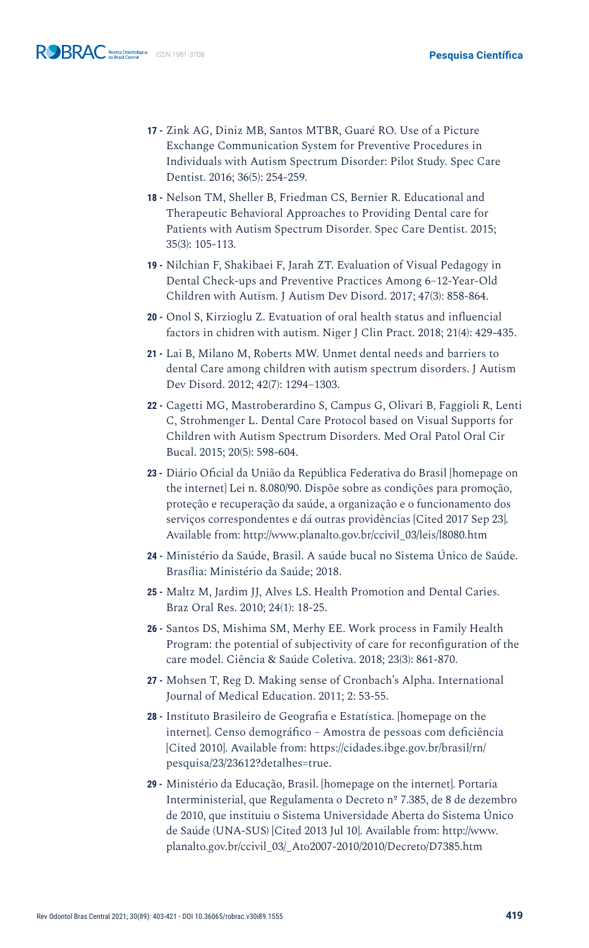- **17 -** Zink AG, Diniz MB, Santos MTBR, Guaré RO. Use of a Picture Exchange Communication System for Preventive Procedures in Individuals with Autism Spectrum Disorder: Pilot Study. Spec Care Dentist. 2016; 36(5): 254-259.
- **18 -** Nelson TM, Sheller B, Friedman CS, Bernier R. Educational and Therapeutic Behavioral Approaches to Providing Dental care for Patients with Autism Spectrum Disorder. Spec Care Dentist. 2015; 35(3): 105-113.
- **19 -** Nilchian F, Shakibaei F, Jarah ZT. Evaluation of Visual Pedagogy in Dental Check-ups and Preventive Practices Among 6–12-Year-Old Children with Autism. J Autism Dev Disord. 2017; 47(3): 858-864.
- **20 -** Onol S, Kirzioglu Z. Evatuation of oral health status and influencial factors in chidren with autism. Niger J Clin Pract. 2018; 21(4): 429-435.
- **21 -** Lai B, Milano M, Roberts MW. Unmet dental needs and barriers to dental Care among children with autism spectrum disorders. J Autism Dev Disord. 2012; 42(7): 1294–1303.
- **22 -** Cagetti MG, Mastroberardino S, Campus G, Olivari B, Faggioli R, Lenti C, Strohmenger L. Dental Care Protocol based on Visual Supports for Children with Autism Spectrum Disorders. Med Oral Patol Oral Cir Bucal. 2015; 20(5): 598-604.
- **23 -** Diário Oficial da União da República Federativa do Brasil [homepage on the internet] Lei n. 8.080/90. Dispõe sobre as condições para promoção, proteção e recuperação da saúde, a organização e o funcionamento dos serviços correspondentes e dá outras providências [Cited 2017 Sep 23]. Available from: http://www.planalto.gov.br/ccivil\_03/leis/l8080.htm
- **24 -** Ministério da Saúde, Brasil. A saúde bucal no Sistema Único de Saúde. Brasília: Ministério da Saúde; 2018.
- **25 -** Maltz M, Jardim JJ, Alves LS. Health Promotion and Dental Caries. Braz Oral Res. 2010; 24(1): 18-25.
- **26 -** Santos DS, Mishima SM, Merhy EE. Work process in Family Health Program: the potential of subjectivity of care for reconfiguration of the care model. Ciência & Saúde Coletiva. 2018; 23(3): 861-870.
- **27 -** Mohsen T, Reg D. Making sense of Cronbach's Alpha. International Journal of Medical Education. 2011; 2: 53-55.
- **28 -** Instituto Brasileiro de Geografia e Estatística. [homepage on the internet]. Censo demográfico – Amostra de pessoas com deficiência [Cited 2010]. Available from: https://cidades.ibge.gov.br/brasil/rn/ pesquisa/23/23612?detalhes=true.
- **29 -** Ministério da Educação, Brasil. [homepage on the internet]. Portaria Interministerial, que Regulamenta o Decreto nº 7.385, de 8 de dezembro de 2010, que instituiu o Sistema Universidade Aberta do Sistema Único de Saúde (UNA-SUS) [Cited 2013 Jul 10]. Available from: http://www. planalto.gov.br/ccivil\_03/\_Ato2007-2010/2010/Decreto/D7385.htm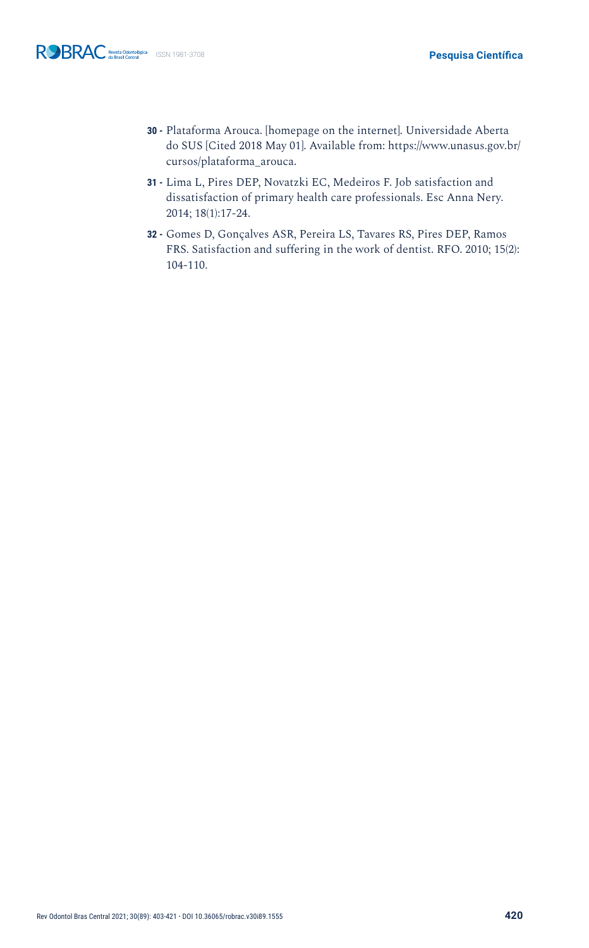- **30 -** Plataforma Arouca. [homepage on the internet]. Universidade Aberta do SUS [Cited 2018 May 01]. Available from: https://www.unasus.gov.br/ cursos/plataforma\_arouca.
- **31 -** Lima L, Pires DEP, Novatzki EC, Medeiros F. Job satisfaction and dissatisfaction of primary health care professionals. Esc Anna Nery. 2014; 18(1):17-24.
- **32 -** Gomes D, Gonçalves ASR, Pereira LS, Tavares RS, Pires DEP, Ramos FRS. Satisfaction and suffering in the work of dentist. RFO. 2010; 15(2): 104-110.